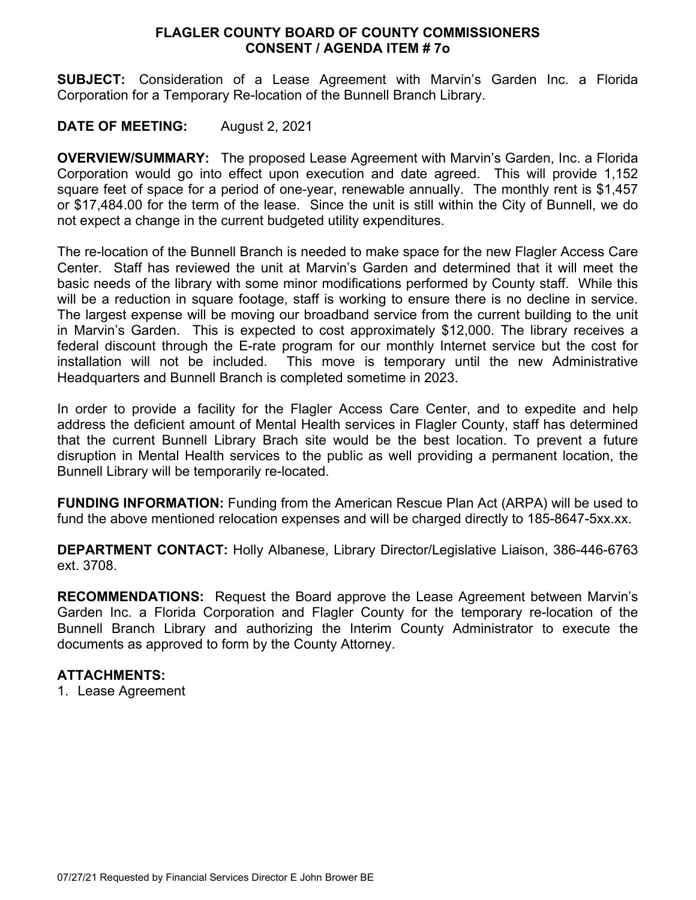# **FLAGLER COUNTY BOARD OF COUNTY COMMISSIONERS CONSENT / AGENDA ITEM # 7o**

**SUBJECT:** Consideration of a Lease Agreement with Marvin's Garden Inc. a Florida Corporation for a Temporary Re-location of the Bunnell Branch Library.

# **DATE OF MEETING:** August 2, 2021

**OVERVIEW/SUMMARY:** The proposed Lease Agreement with Marvin's Garden, Inc. a Florida Corporation would go into effect upon execution and date agreed. This will provide 1,152 square feet of space for a period of one-year, renewable annually. The monthly rent is \$1,457 or \$17,484.00 for the term of the lease. Since the unit is still within the City of Bunnell, we do not expect a change in the current budgeted utility expenditures.

The re-location of the Bunnell Branch is needed to make space for the new Flagler Access Care Center. Staff has reviewed the unit at Marvin's Garden and determined that it will meet the basic needs of the library with some minor modifications performed by County staff. While this will be a reduction in square footage, staff is working to ensure there is no decline in service. The largest expense will be moving our broadband service from the current building to the unit in Marvin's Garden. This is expected to cost approximately \$12,000. The library receives a federal discount through the E-rate program for our monthly Internet service but the cost for installation will not be included. This move is temporary until the new Administrative Headquarters and Bunnell Branch is completed sometime in 2023.

In order to provide a facility for the Flagler Access Care Center, and to expedite and help address the deficient amount of Mental Health services in Flagler County, staff has determined that the current Bunnell Library Brach site would be the best location. To prevent a future disruption in Mental Health services to the public as well providing a permanent location, the Bunnell Library will be temporarily re-located.

**FUNDING INFORMATION:** Funding from the American Rescue Plan Act (ARPA) will be used to fund the above mentioned relocation expenses and will be charged directly to 185-8647-5xx.xx.

**DEPARTMENT CONTACT:** Holly Albanese, Library Director/Legislative Liaison, 386-446-6763 ext. 3708.

**RECOMMENDATIONS:** Request the Board approve the Lease Agreement between Marvin's Garden Inc. a Florida Corporation and Flagler County for the temporary re-location of the Bunnell Branch Library and authorizing the Interim County Administrator to execute the documents as approved to form by the County Attorney.

# **ATTACHMENTS:**

1. Lease Agreement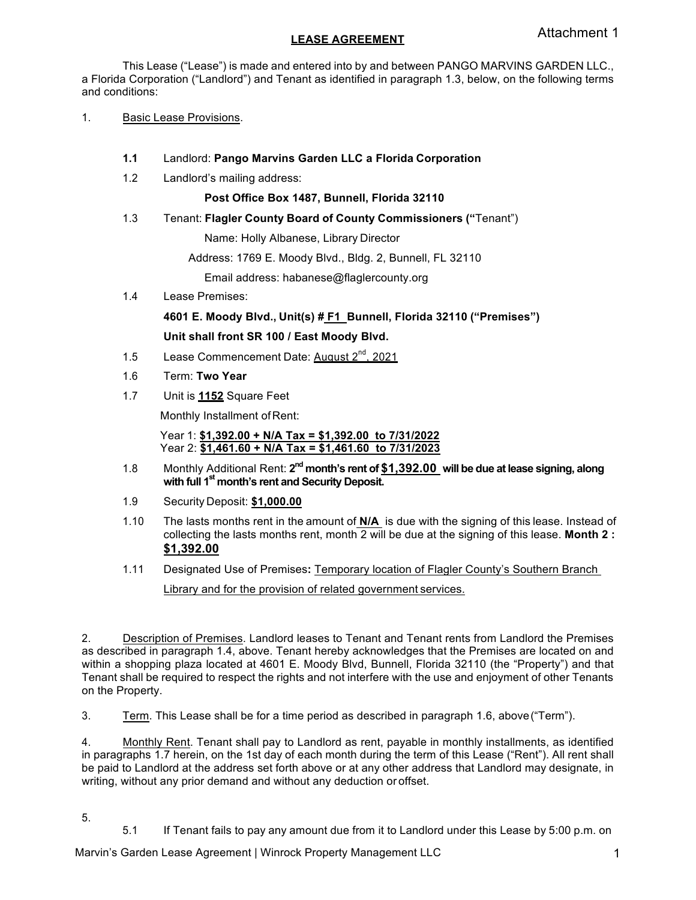## **LEASE AGREEMENT**

This Lease ("Lease") is made and entered into by and between PANGO MARVINS GARDEN LLC., a Florida Corporation ("Landlord") and Tenant as identified in paragraph 1.3, below, on the following terms and conditions:

- 1. Basic Lease Provisions.
	- **1.1** Landlord: **Pango Marvins Garden LLC a Florida Corporation**
	- 1.2 Landlord's mailing address:

**Post Office Box 1487, Bunnell, Florida 32110**

1.3 Tenant: **Flagler County Board of County Commissioners ("**Tenant")

Name: Holly Albanese, Library Director

Address: 1769 E. Moody Blvd., Bldg. 2, Bunnell, FL 32110

Email address: habanese@flaglercounty.org

1.4 Lease Premises:

**4601 E. Moody Blvd., Unit(s) # F1 Bunnell, Florida 32110 ("Premises")**

#### **Unit shall front SR 100 / East Moody Blvd.**

- 1.5 Lease Commencement Date: August 2<sup>nd</sup>, 2021
- 1.6 Term: **Two Year**
- 1.7 Unit is **1152** Square Feet

Monthly Installment of Rent:

Year 1: **\$1,392.00 + N/A Tax = \$1,392.00 to 7/31/2022** Year 2: **\$1,461.60 + N/A Tax = \$1,461.60 to 7/31/2023**

- 1.8 Monthly Additional Rent: 2<sup>nd</sup> month's rent of \$1,392.00 will be due at lease signing, along **with full 1st month's rent and Security Deposit.**
- 1.9 Security Deposit: **\$1,000.00**
- 1.10 The lasts months rent in the amount of **N/A** is due with the signing of this lease. Instead of collecting the lasts months rent, month 2 will be due at the signing of this lease. **Month 2 : \$1,392.00**
- 1.11 Designated Use of Premises**:** Temporary location of Flagler County's Southern Branch

Library and for the provision of related government services.

2. Description of Premises. Landlord leases to Tenant and Tenant rents from Landlord the Premises as described in paragraph 1.4, above. Tenant hereby acknowledges that the Premises are located on and within a shopping plaza located at 4601 E. Moody Blvd, Bunnell, Florida 32110 (the "Property") and that Tenant shall be required to respect the rights and not interfere with the use and enjoyment of other Tenants on the Property.

3. Term. This Lease shall be for a time period as described in paragraph 1.6, above("Term").

4. Monthly Rent. Tenant shall pay to Landlord as rent, payable in monthly installments, as identified in paragraphs 1.7 herein, on the 1st day of each month during the term of this Lease ("Rent"). All rent shall be paid to Landlord at the address set forth above or at any other address that Landlord may designate, in writing, without any prior demand and without any deduction or offset.

- 5.
- 5.1 If Tenant fails to pay any amount due from it to Landlord under this Lease by 5:00 p.m. on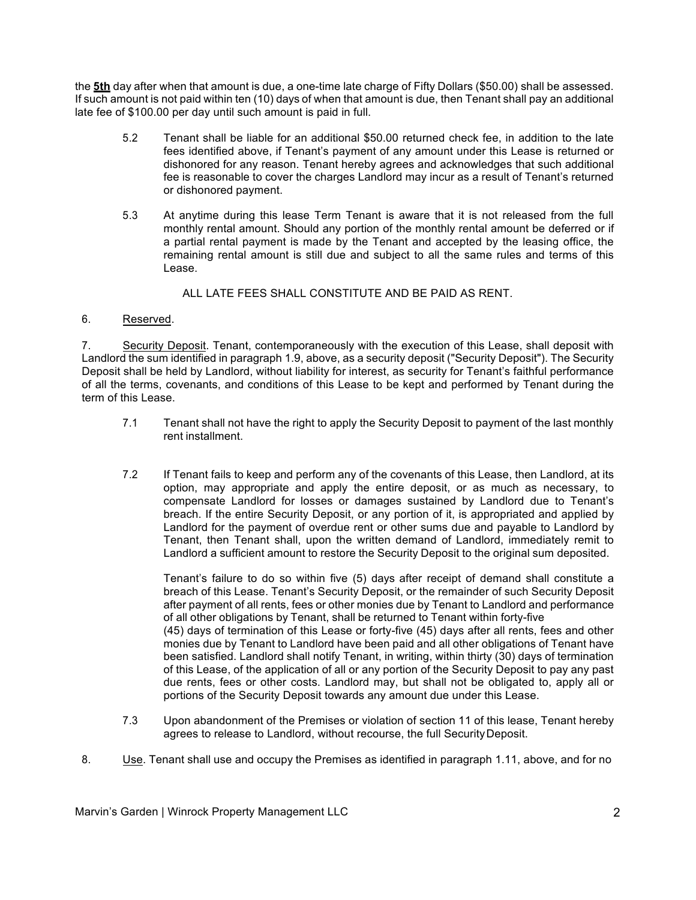the **5th** day after when that amount is due, a one-time late charge of Fifty Dollars (\$50.00) shall be assessed. If such amount is not paid within ten (10) days of when that amount is due, then Tenant shall pay an additional late fee of \$100.00 per day until such amount is paid in full.

- 5.2 Tenant shall be liable for an additional \$50.00 returned check fee, in addition to the late fees identified above, if Tenant's payment of any amount under this Lease is returned or dishonored for any reason. Tenant hereby agrees and acknowledges that such additional fee is reasonable to cover the charges Landlord may incur as a result of Tenant's returned or dishonored payment.
- 5.3 At anytime during this lease Term Tenant is aware that it is not released from the full monthly rental amount. Should any portion of the monthly rental amount be deferred or if a partial rental payment is made by the Tenant and accepted by the leasing office, the remaining rental amount is still due and subject to all the same rules and terms of this Lease.

ALL LATE FEES SHALL CONSTITUTE AND BE PAID AS RENT.

### 6. Reserved.

7. Security Deposit. Tenant, contemporaneously with the execution of this Lease, shall deposit with Landlord the sum identified in paragraph 1.9, above, as a security deposit ("Security Deposit"). The Security Deposit shall be held by Landlord, without liability for interest, as security for Tenant's faithful performance of all the terms, covenants, and conditions of this Lease to be kept and performed by Tenant during the term of this Lease.

- 7.1 Tenant shall not have the right to apply the Security Deposit to payment of the last monthly rent installment.
- 7.2 If Tenant fails to keep and perform any of the covenants of this Lease, then Landlord, at its option, may appropriate and apply the entire deposit, or as much as necessary, to compensate Landlord for losses or damages sustained by Landlord due to Tenant's breach. If the entire Security Deposit, or any portion of it, is appropriated and applied by Landlord for the payment of overdue rent or other sums due and payable to Landlord by Tenant, then Tenant shall, upon the written demand of Landlord, immediately remit to Landlord a sufficient amount to restore the Security Deposit to the original sum deposited.

Tenant's failure to do so within five (5) days after receipt of demand shall constitute a breach of this Lease. Tenant's Security Deposit, or the remainder of such Security Deposit after payment of all rents, fees or other monies due by Tenant to Landlord and performance of all other obligations by Tenant, shall be returned to Tenant within forty-five (45) days of termination of this Lease or forty-five (45) days after all rents, fees and other monies due by Tenant to Landlord have been paid and all other obligations of Tenant have been satisfied. Landlord shall notify Tenant, in writing, within thirty (30) days of termination of this Lease, of the application of all or any portion of the Security Deposit to pay any past due rents, fees or other costs. Landlord may, but shall not be obligated to, apply all or portions of the Security Deposit towards any amount due under this Lease.

- 7.3 Upon abandonment of the Premises or violation of section 11 of this lease, Tenant hereby agrees to release to Landlord, without recourse, the full SecurityDeposit.
- 8. Use. Tenant shall use and occupy the Premises as identified in paragraph 1.11, above, and for no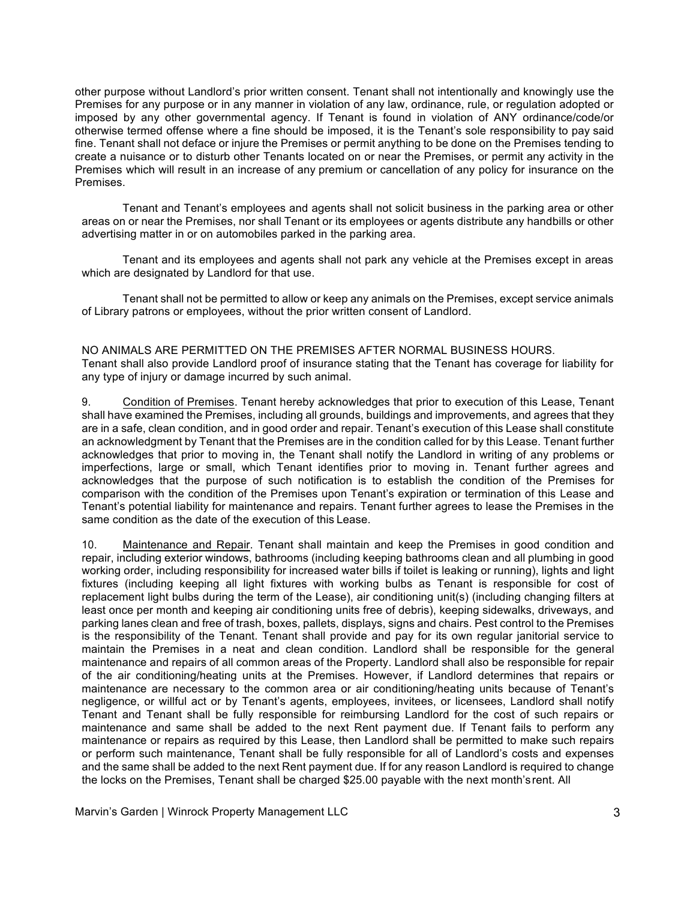other purpose without Landlord's prior written consent. Tenant shall not intentionally and knowingly use the Premises for any purpose or in any manner in violation of any law, ordinance, rule, or regulation adopted or imposed by any other governmental agency. If Tenant is found in violation of ANY ordinance/code/or otherwise termed offense where a fine should be imposed, it is the Tenant's sole responsibility to pay said fine. Tenant shall not deface or injure the Premises or permit anything to be done on the Premises tending to create a nuisance or to disturb other Tenants located on or near the Premises, or permit any activity in the Premises which will result in an increase of any premium or cancellation of any policy for insurance on the Premises.

Tenant and Tenant's employees and agents shall not solicit business in the parking area or other areas on or near the Premises, nor shall Tenant or its employees or agents distribute any handbills or other advertising matter in or on automobiles parked in the parking area.

Tenant and its employees and agents shall not park any vehicle at the Premises except in areas which are designated by Landlord for that use.

Tenant shall not be permitted to allow or keep any animals on the Premises, except service animals of Library patrons or employees, without the prior written consent of Landlord.

# NO ANIMALS ARE PERMITTED ON THE PREMISES AFTER NORMAL BUSINESS HOURS.

Tenant shall also provide Landlord proof of insurance stating that the Tenant has coverage for liability for any type of injury or damage incurred by such animal.

9. Condition of Premises. Tenant hereby acknowledges that prior to execution of this Lease, Tenant shall have examined the Premises, including all grounds, buildings and improvements, and agrees that they are in a safe, clean condition, and in good order and repair. Tenant's execution of this Lease shall constitute an acknowledgment by Tenant that the Premises are in the condition called for by this Lease. Tenant further acknowledges that prior to moving in, the Tenant shall notify the Landlord in writing of any problems or imperfections, large or small, which Tenant identifies prior to moving in. Tenant further agrees and acknowledges that the purpose of such notification is to establish the condition of the Premises for comparison with the condition of the Premises upon Tenant's expiration or termination of this Lease and Tenant's potential liability for maintenance and repairs. Tenant further agrees to lease the Premises in the same condition as the date of the execution of this Lease.

10. Maintenance and Repair. Tenant shall maintain and keep the Premises in good condition and repair, including exterior windows, bathrooms (including keeping bathrooms clean and all plumbing in good working order, including responsibility for increased water bills if toilet is leaking or running), lights and light fixtures (including keeping all light fixtures with working bulbs as Tenant is responsible for cost of replacement light bulbs during the term of the Lease), air conditioning unit(s) (including changing filters at least once per month and keeping air conditioning units free of debris), keeping sidewalks, driveways, and parking lanes clean and free of trash, boxes, pallets, displays, signs and chairs. Pest control to the Premises is the responsibility of the Tenant. Tenant shall provide and pay for its own regular janitorial service to maintain the Premises in a neat and clean condition. Landlord shall be responsible for the general maintenance and repairs of all common areas of the Property. Landlord shall also be responsible for repair of the air conditioning/heating units at the Premises. However, if Landlord determines that repairs or maintenance are necessary to the common area or air conditioning/heating units because of Tenant's negligence, or willful act or by Tenant's agents, employees, invitees, or licensees, Landlord shall notify Tenant and Tenant shall be fully responsible for reimbursing Landlord for the cost of such repairs or maintenance and same shall be added to the next Rent payment due. If Tenant fails to perform any maintenance or repairs as required by this Lease, then Landlord shall be permitted to make such repairs or perform such maintenance, Tenant shall be fully responsible for all of Landlord's costs and expenses and the same shall be added to the next Rent payment due. If for any reason Landlord is required to change the locks on the Premises, Tenant shall be charged \$25.00 payable with the next month'srent. All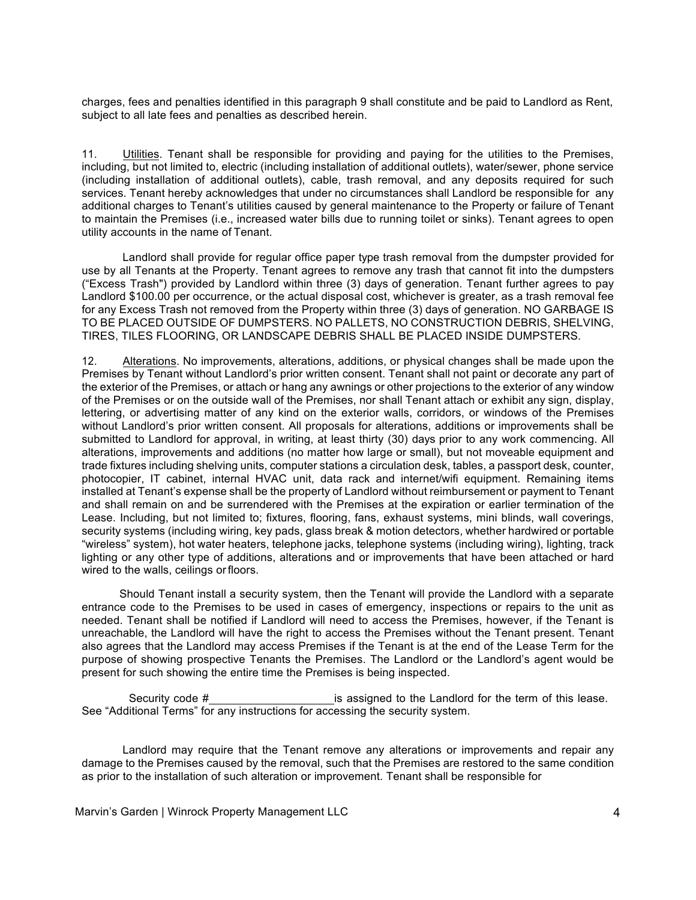charges, fees and penalties identified in this paragraph 9 shall constitute and be paid to Landlord as Rent, subject to all late fees and penalties as described herein.

11. Utilities. Tenant shall be responsible for providing and paying for the utilities to the Premises, including, but not limited to, electric (including installation of additional outlets), water/sewer, phone service (including installation of additional outlets), cable, trash removal, and any deposits required for such services. Tenant hereby acknowledges that under no circumstances shall Landlord be responsible for any additional charges to Tenant's utilities caused by general maintenance to the Property or failure of Tenant to maintain the Premises (i.e., increased water bills due to running toilet or sinks). Tenant agrees to open utility accounts in the name of Tenant.

Landlord shall provide for regular office paper type trash removal from the dumpster provided for use by all Tenants at the Property. Tenant agrees to remove any trash that cannot fit into the dumpsters ("Excess Trash") provided by Landlord within three (3) days of generation. Tenant further agrees to pay Landlord \$100.00 per occurrence, or the actual disposal cost, whichever is greater, as a trash removal fee for any Excess Trash not removed from the Property within three (3) days of generation. NO GARBAGE IS TO BE PLACED OUTSIDE OF DUMPSTERS. NO PALLETS, NO CONSTRUCTION DEBRIS, SHELVING, TIRES, TILES FLOORING, OR LANDSCAPE DEBRIS SHALL BE PLACED INSIDE DUMPSTERS.

12. Alterations. No improvements, alterations, additions, or physical changes shall be made upon the Premises by Tenant without Landlord's prior written consent. Tenant shall not paint or decorate any part of the exterior of the Premises, or attach or hang any awnings or other projections to the exterior of any window of the Premises or on the outside wall of the Premises, nor shall Tenant attach or exhibit any sign, display, lettering, or advertising matter of any kind on the exterior walls, corridors, or windows of the Premises without Landlord's prior written consent. All proposals for alterations, additions or improvements shall be submitted to Landlord for approval, in writing, at least thirty (30) days prior to any work commencing. All alterations, improvements and additions (no matter how large or small), but not moveable equipment and trade fixtures including shelving units, computer stations a circulation desk, tables, a passport desk, counter, photocopier, IT cabinet, internal HVAC unit, data rack and internet/wifi equipment. Remaining items installed at Tenant's expense shall be the property of Landlord without reimbursement or payment to Tenant and shall remain on and be surrendered with the Premises at the expiration or earlier termination of the Lease. Including, but not limited to; fixtures, flooring, fans, exhaust systems, mini blinds, wall coverings, security systems (including wiring, key pads, glass break & motion detectors, whether hardwired or portable "wireless" system), hot water heaters, telephone jacks, telephone systems (including wiring), lighting, track lighting or any other type of additions, alterations and or improvements that have been attached or hard wired to the walls, ceilings or floors.

Should Tenant install a security system, then the Tenant will provide the Landlord with a separate entrance code to the Premises to be used in cases of emergency, inspections or repairs to the unit as needed. Tenant shall be notified if Landlord will need to access the Premises, however, if the Tenant is unreachable, the Landlord will have the right to access the Premises without the Tenant present. Tenant also agrees that the Landlord may access Premises if the Tenant is at the end of the Lease Term for the purpose of showing prospective Tenants the Premises. The Landlord or the Landlord's agent would be present for such showing the entire time the Premises is being inspected.

Security code # is assigned to the Landlord for the term of this lease. See "Additional Terms" for any instructions for accessing the security system.

Landlord may require that the Tenant remove any alterations or improvements and repair any damage to the Premises caused by the removal, such that the Premises are restored to the same condition as prior to the installation of such alteration or improvement. Tenant shall be responsible for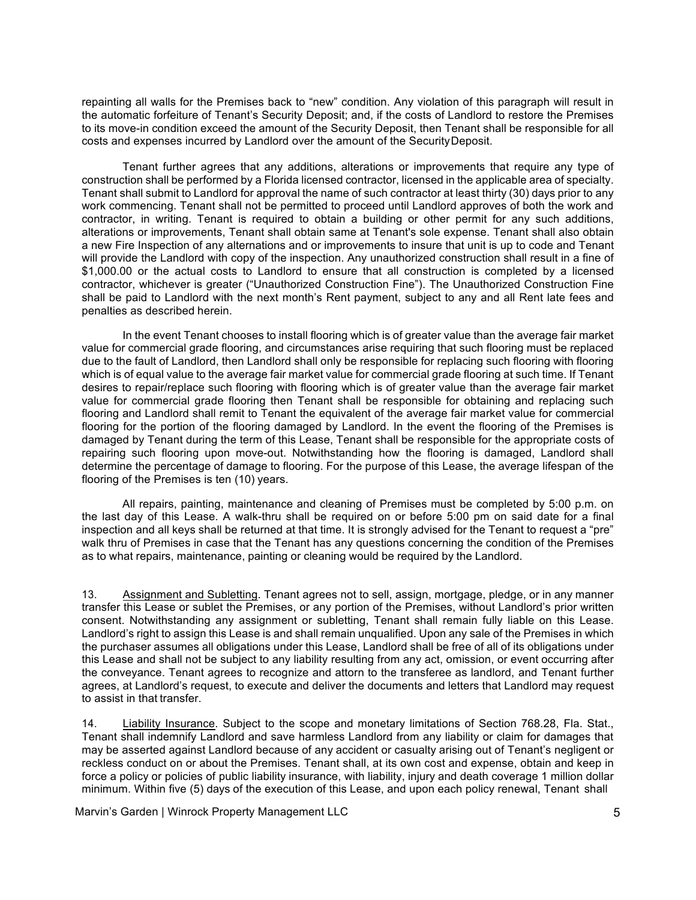repainting all walls for the Premises back to "new" condition. Any violation of this paragraph will result in the automatic forfeiture of Tenant's Security Deposit; and, if the costs of Landlord to restore the Premises to its move-in condition exceed the amount of the Security Deposit, then Tenant shall be responsible for all costs and expenses incurred by Landlord over the amount of the SecurityDeposit.

Tenant further agrees that any additions, alterations or improvements that require any type of construction shall be performed by a Florida licensed contractor, licensed in the applicable area of specialty. Tenant shall submit to Landlord for approval the name of such contractor at least thirty (30) days prior to any work commencing. Tenant shall not be permitted to proceed until Landlord approves of both the work and contractor, in writing. Tenant is required to obtain a building or other permit for any such additions, alterations or improvements, Tenant shall obtain same at Tenant's sole expense. Tenant shall also obtain a new Fire Inspection of any alternations and or improvements to insure that unit is up to code and Tenant will provide the Landlord with copy of the inspection. Any unauthorized construction shall result in a fine of \$1,000.00 or the actual costs to Landlord to ensure that all construction is completed by a licensed contractor, whichever is greater ("Unauthorized Construction Fine"). The Unauthorized Construction Fine shall be paid to Landlord with the next month's Rent payment, subject to any and all Rent late fees and penalties as described herein.

In the event Tenant chooses to install flooring which is of greater value than the average fair market value for commercial grade flooring, and circumstances arise requiring that such flooring must be replaced due to the fault of Landlord, then Landlord shall only be responsible for replacing such flooring with flooring which is of equal value to the average fair market value for commercial grade flooring at such time. If Tenant desires to repair/replace such flooring with flooring which is of greater value than the average fair market value for commercial grade flooring then Tenant shall be responsible for obtaining and replacing such flooring and Landlord shall remit to Tenant the equivalent of the average fair market value for commercial flooring for the portion of the flooring damaged by Landlord. In the event the flooring of the Premises is damaged by Tenant during the term of this Lease, Tenant shall be responsible for the appropriate costs of repairing such flooring upon move-out. Notwithstanding how the flooring is damaged, Landlord shall determine the percentage of damage to flooring. For the purpose of this Lease, the average lifespan of the flooring of the Premises is ten (10) years.

All repairs, painting, maintenance and cleaning of Premises must be completed by 5:00 p.m. on the last day of this Lease. A walk-thru shall be required on or before 5:00 pm on said date for a final inspection and all keys shall be returned at that time. It is strongly advised for the Tenant to request a "pre" walk thru of Premises in case that the Tenant has any questions concerning the condition of the Premises as to what repairs, maintenance, painting or cleaning would be required by the Landlord.

13. Assignment and Subletting. Tenant agrees not to sell, assign, mortgage, pledge, or in any manner transfer this Lease or sublet the Premises, or any portion of the Premises, without Landlord's prior written consent. Notwithstanding any assignment or subletting, Tenant shall remain fully liable on this Lease. Landlord's right to assign this Lease is and shall remain unqualified. Upon any sale of the Premises in which the purchaser assumes all obligations under this Lease, Landlord shall be free of all of its obligations under this Lease and shall not be subject to any liability resulting from any act, omission, or event occurring after the conveyance. Tenant agrees to recognize and attorn to the transferee as landlord, and Tenant further agrees, at Landlord's request, to execute and deliver the documents and letters that Landlord may request to assist in that transfer.

14. Liability Insurance. Subject to the scope and monetary limitations of Section 768.28, Fla. Stat., Tenant shall indemnify Landlord and save harmless Landlord from any liability or claim for damages that may be asserted against Landlord because of any accident or casualty arising out of Tenant's negligent or reckless conduct on or about the Premises. Tenant shall, at its own cost and expense, obtain and keep in force a policy or policies of public liability insurance, with liability, injury and death coverage 1 million dollar minimum. Within five (5) days of the execution of this Lease, and upon each policy renewal, Tenant shall

Marvin's Garden | Winrock Property Management LLC 5 | Service 3 | Service 3 | Service 3 | Service 3 | Service 3 | S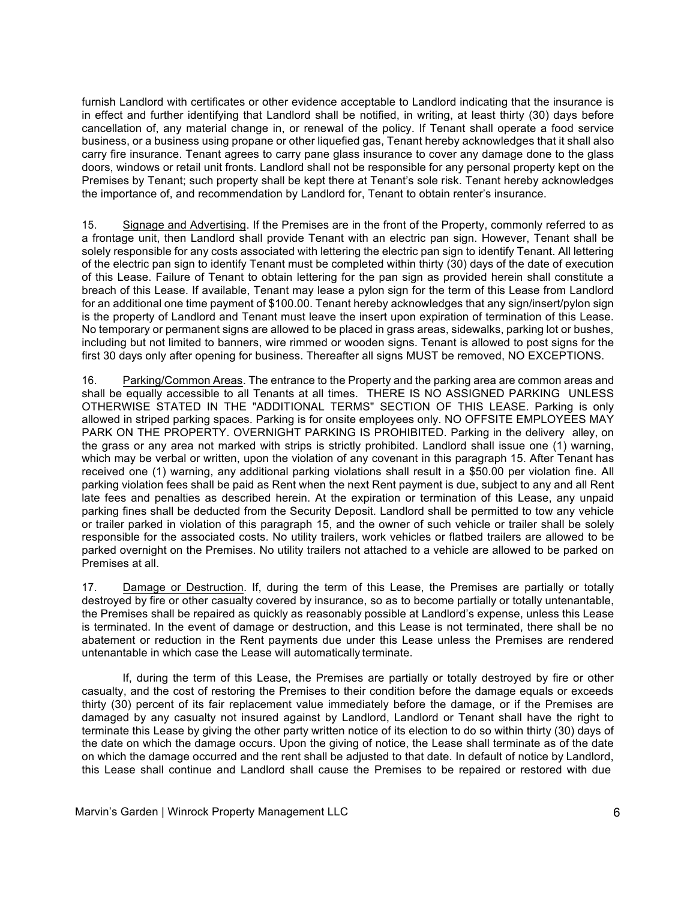furnish Landlord with certificates or other evidence acceptable to Landlord indicating that the insurance is in effect and further identifying that Landlord shall be notified, in writing, at least thirty (30) days before cancellation of, any material change in, or renewal of the policy. If Tenant shall operate a food service business, or a business using propane or other liquefied gas, Tenant hereby acknowledges that it shall also carry fire insurance. Tenant agrees to carry pane glass insurance to cover any damage done to the glass doors, windows or retail unit fronts. Landlord shall not be responsible for any personal property kept on the Premises by Tenant; such property shall be kept there at Tenant's sole risk. Tenant hereby acknowledges the importance of, and recommendation by Landlord for, Tenant to obtain renter's insurance.

15. Signage and Advertising. If the Premises are in the front of the Property, commonly referred to as a frontage unit, then Landlord shall provide Tenant with an electric pan sign. However, Tenant shall be solely responsible for any costs associated with lettering the electric pan sign to identify Tenant. All lettering of the electric pan sign to identify Tenant must be completed within thirty (30) days of the date of execution of this Lease. Failure of Tenant to obtain lettering for the pan sign as provided herein shall constitute a breach of this Lease. If available, Tenant may lease a pylon sign for the term of this Lease from Landlord for an additional one time payment of \$100.00. Tenant hereby acknowledges that any sign/insert/pylon sign is the property of Landlord and Tenant must leave the insert upon expiration of termination of this Lease. No temporary or permanent signs are allowed to be placed in grass areas, sidewalks, parking lot or bushes, including but not limited to banners, wire rimmed or wooden signs. Tenant is allowed to post signs for the first 30 days only after opening for business. Thereafter all signs MUST be removed, NO EXCEPTIONS.

16. Parking/Common Areas. The entrance to the Property and the parking area are common areas and shall be equally accessible to all Tenants at all times. THERE IS NO ASSIGNED PARKING UNLESS OTHERWISE STATED IN THE "ADDITIONAL TERMS" SECTION OF THIS LEASE. Parking is only allowed in striped parking spaces. Parking is for onsite employees only. NO OFFSITE EMPLOYEES MAY PARK ON THE PROPERTY. OVERNIGHT PARKING IS PROHIBITED. Parking in the delivery alley, on the grass or any area not marked with strips is strictly prohibited. Landlord shall issue one (1) warning, which may be verbal or written, upon the violation of any covenant in this paragraph 15. After Tenant has received one (1) warning, any additional parking violations shall result in a \$50.00 per violation fine. All parking violation fees shall be paid as Rent when the next Rent payment is due, subject to any and all Rent late fees and penalties as described herein. At the expiration or termination of this Lease, any unpaid parking fines shall be deducted from the Security Deposit. Landlord shall be permitted to tow any vehicle or trailer parked in violation of this paragraph 15, and the owner of such vehicle or trailer shall be solely responsible for the associated costs. No utility trailers, work vehicles or flatbed trailers are allowed to be parked overnight on the Premises. No utility trailers not attached to a vehicle are allowed to be parked on Premises at all.

17. Damage or Destruction. If, during the term of this Lease, the Premises are partially or totally destroyed by fire or other casualty covered by insurance, so as to become partially or totally untenantable, the Premises shall be repaired as quickly as reasonably possible at Landlord's expense, unless this Lease is terminated. In the event of damage or destruction, and this Lease is not terminated, there shall be no abatement or reduction in the Rent payments due under this Lease unless the Premises are rendered untenantable in which case the Lease will automatically terminate.

If, during the term of this Lease, the Premises are partially or totally destroyed by fire or other casualty, and the cost of restoring the Premises to their condition before the damage equals or exceeds thirty (30) percent of its fair replacement value immediately before the damage, or if the Premises are damaged by any casualty not insured against by Landlord, Landlord or Tenant shall have the right to terminate this Lease by giving the other party written notice of its election to do so within thirty (30) days of the date on which the damage occurs. Upon the giving of notice, the Lease shall terminate as of the date on which the damage occurred and the rent shall be adjusted to that date. In default of notice by Landlord, this Lease shall continue and Landlord shall cause the Premises to be repaired or restored with due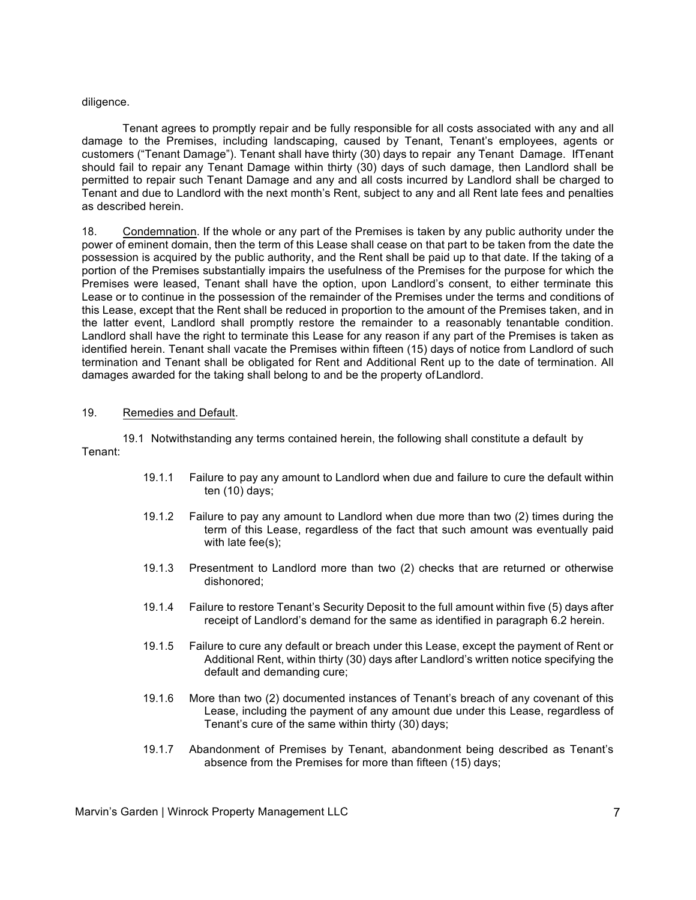#### diligence.

Tenant agrees to promptly repair and be fully responsible for all costs associated with any and all damage to the Premises, including landscaping, caused by Tenant, Tenant's employees, agents or customers ("Tenant Damage"). Tenant shall have thirty (30) days to repair any Tenant Damage. IfTenant should fail to repair any Tenant Damage within thirty (30) days of such damage, then Landlord shall be permitted to repair such Tenant Damage and any and all costs incurred by Landlord shall be charged to Tenant and due to Landlord with the next month's Rent, subject to any and all Rent late fees and penalties as described herein.

18. Condemnation. If the whole or any part of the Premises is taken by any public authority under the power of eminent domain, then the term of this Lease shall cease on that part to be taken from the date the possession is acquired by the public authority, and the Rent shall be paid up to that date. If the taking of a portion of the Premises substantially impairs the usefulness of the Premises for the purpose for which the Premises were leased, Tenant shall have the option, upon Landlord's consent, to either terminate this Lease or to continue in the possession of the remainder of the Premises under the terms and conditions of this Lease, except that the Rent shall be reduced in proportion to the amount of the Premises taken, and in the latter event, Landlord shall promptly restore the remainder to a reasonably tenantable condition. Landlord shall have the right to terminate this Lease for any reason if any part of the Premises is taken as identified herein. Tenant shall vacate the Premises within fifteen (15) days of notice from Landlord of such termination and Tenant shall be obligated for Rent and Additional Rent up to the date of termination. All damages awarded for the taking shall belong to and be the property ofLandlord.

#### 19. Remedies and Default.

19.1 Notwithstanding any terms contained herein, the following shall constitute a default by Tenant:

- 19.1.1 Failure to pay any amount to Landlord when due and failure to cure the default within ten (10) days;
- 19.1.2 Failure to pay any amount to Landlord when due more than two (2) times during the term of this Lease, regardless of the fact that such amount was eventually paid with late fee(s);
- 19.1.3 Presentment to Landlord more than two (2) checks that are returned or otherwise dishonored;
- 19.1.4 Failure to restore Tenant's Security Deposit to the full amount within five (5) days after receipt of Landlord's demand for the same as identified in paragraph 6.2 herein.
- 19.1.5 Failure to cure any default or breach under this Lease, except the payment of Rent or Additional Rent, within thirty (30) days after Landlord's written notice specifying the default and demanding cure;
- 19.1.6 More than two (2) documented instances of Tenant's breach of any covenant of this Lease, including the payment of any amount due under this Lease, regardless of Tenant's cure of the same within thirty (30) days;
- 19.1.7 Abandonment of Premises by Tenant, abandonment being described as Tenant's absence from the Premises for more than fifteen (15) days;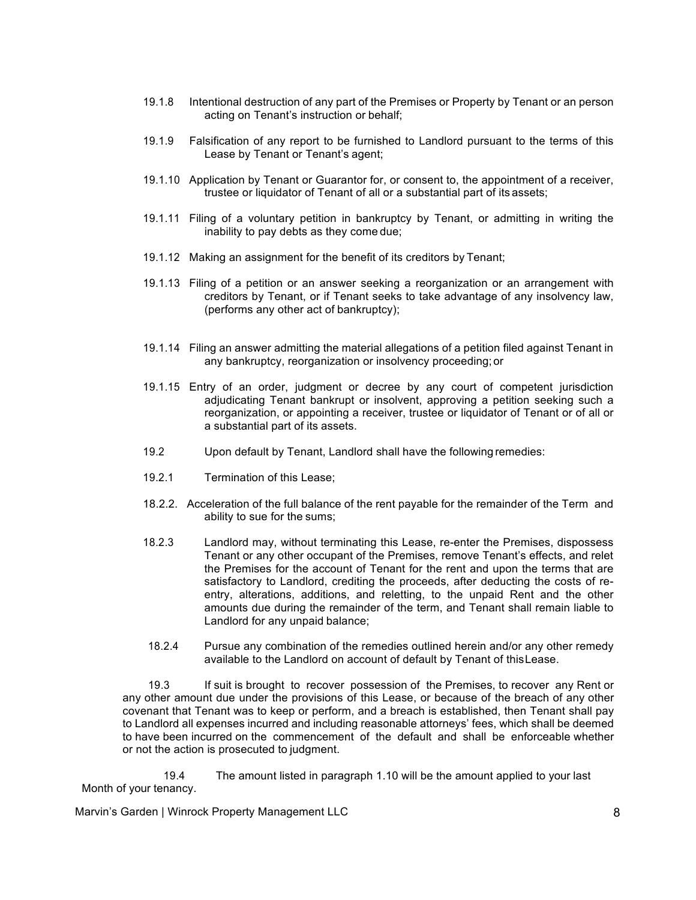- 19.1.8 Intentional destruction of any part of the Premises or Property by Tenant or an person acting on Tenant's instruction or behalf;
- 19.1.9 Falsification of any report to be furnished to Landlord pursuant to the terms of this Lease by Tenant or Tenant's agent;
- 19.1.10 Application by Tenant or Guarantor for, or consent to, the appointment of a receiver, trustee or liquidator of Tenant of all or a substantial part of its assets;
- 19.1.11 Filing of a voluntary petition in bankruptcy by Tenant, or admitting in writing the inability to pay debts as they come due;
- 19.1.12 Making an assignment for the benefit of its creditors by Tenant;
- 19.1.13 Filing of a petition or an answer seeking a reorganization or an arrangement with creditors by Tenant, or if Tenant seeks to take advantage of any insolvency law, (performs any other act of bankruptcy);
- 19.1.14 Filing an answer admitting the material allegations of a petition filed against Tenant in any bankruptcy, reorganization or insolvency proceeding; or
- 19.1.15 Entry of an order, judgment or decree by any court of competent jurisdiction adjudicating Tenant bankrupt or insolvent, approving a petition seeking such a reorganization, or appointing a receiver, trustee or liquidator of Tenant or of all or a substantial part of its assets.
- 19.2 Upon default by Tenant, Landlord shall have the following remedies:
- 19.2.1 Termination of this Lease;
- 18.2.2. Acceleration of the full balance of the rent payable for the remainder of the Term and ability to sue for the sums;
- 18.2.3 Landlord may, without terminating this Lease, re-enter the Premises, dispossess Tenant or any other occupant of the Premises, remove Tenant's effects, and relet the Premises for the account of Tenant for the rent and upon the terms that are satisfactory to Landlord, crediting the proceeds, after deducting the costs of reentry, alterations, additions, and reletting, to the unpaid Rent and the other amounts due during the remainder of the term, and Tenant shall remain liable to Landlord for any unpaid balance;
- 18.2.4 Pursue any combination of the remedies outlined herein and/or any other remedy available to the Landlord on account of default by Tenant of thisLease.

19.3 If suit is brought to recover possession of the Premises, to recover any Rent or any other amount due under the provisions of this Lease, or because of the breach of any other covenant that Tenant was to keep or perform, and a breach is established, then Tenant shall pay to Landlord all expenses incurred and including reasonable attorneys' fees, which shall be deemed to have been incurred on the commencement of the default and shall be enforceable whether or not the action is prosecuted to judgment.

19.4 The amount listed in paragraph 1.10 will be the amount applied to your last Month of your tenancy.

Marvin's Garden | Winrock Property Management LLC 8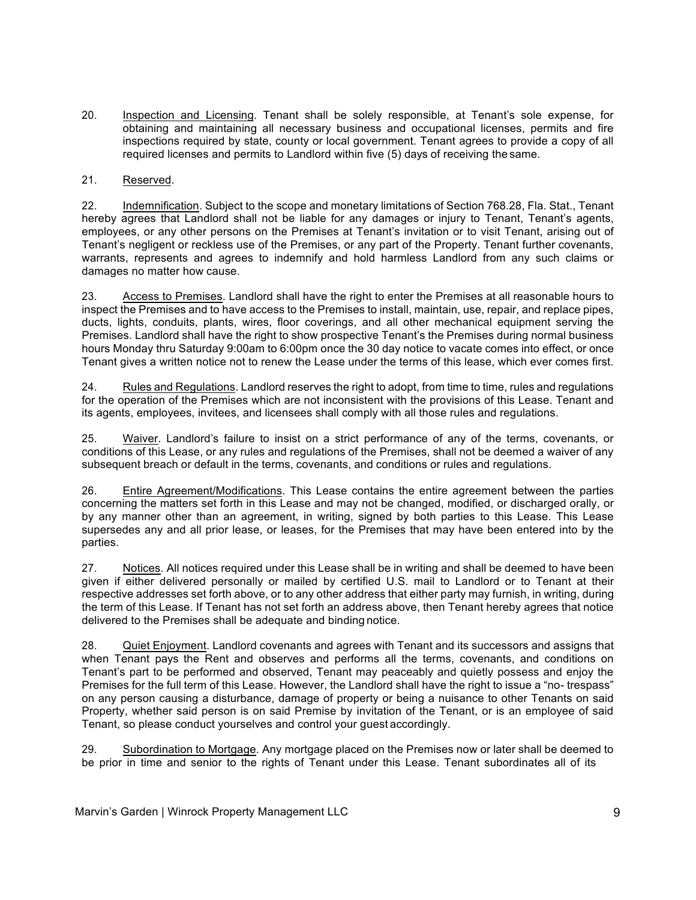20. Inspection and Licensing. Tenant shall be solely responsible, at Tenant's sole expense, for obtaining and maintaining all necessary business and occupational licenses, permits and fire inspections required by state, county or local government. Tenant agrees to provide a copy of all required licenses and permits to Landlord within five (5) days of receiving the same.

### 21. Reserved.

22. Indemnification. Subject to the scope and monetary limitations of Section 768.28, Fla. Stat., Tenant hereby agrees that Landlord shall not be liable for any damages or injury to Tenant, Tenant's agents, employees, or any other persons on the Premises at Tenant's invitation or to visit Tenant, arising out of Tenant's negligent or reckless use of the Premises, or any part of the Property. Tenant further covenants, warrants, represents and agrees to indemnify and hold harmless Landlord from any such claims or damages no matter how cause.

23. Access to Premises. Landlord shall have the right to enter the Premises at all reasonable hours to inspect the Premises and to have access to the Premises to install, maintain, use, repair, and replace pipes, ducts, lights, conduits, plants, wires, floor coverings, and all other mechanical equipment serving the Premises. Landlord shall have the right to show prospective Tenant's the Premises during normal business hours Monday thru Saturday 9:00am to 6:00pm once the 30 day notice to vacate comes into effect, or once Tenant gives a written notice not to renew the Lease under the terms of this lease, which ever comes first.

24. Rules and Regulations. Landlord reserves the right to adopt, from time to time, rules and regulations for the operation of the Premises which are not inconsistent with the provisions of this Lease. Tenant and its agents, employees, invitees, and licensees shall comply with all those rules and regulations.

25. Waiver. Landlord's failure to insist on a strict performance of any of the terms, covenants, or conditions of this Lease, or any rules and regulations of the Premises, shall not be deemed a waiver of any subsequent breach or default in the terms, covenants, and conditions or rules and regulations.

26. Entire Agreement/Modifications. This Lease contains the entire agreement between the parties concerning the matters set forth in this Lease and may not be changed, modified, or discharged orally, or by any manner other than an agreement, in writing, signed by both parties to this Lease. This Lease supersedes any and all prior lease, or leases, for the Premises that may have been entered into by the parties.

27. Notices. All notices required under this Lease shall be in writing and shall be deemed to have been given if either delivered personally or mailed by certified U.S. mail to Landlord or to Tenant at their respective addresses set forth above, or to any other address that either party may furnish, in writing, during the term of this Lease. If Tenant has not set forth an address above, then Tenant hereby agrees that notice delivered to the Premises shall be adequate and binding notice.

28. Quiet Enjoyment. Landlord covenants and agrees with Tenant and its successors and assigns that when Tenant pays the Rent and observes and performs all the terms, covenants, and conditions on Tenant's part to be performed and observed, Tenant may peaceably and quietly possess and enjoy the Premises for the full term of this Lease. However, the Landlord shall have the right to issue a "no- trespass" on any person causing a disturbance, damage of property or being a nuisance to other Tenants on said Property, whether said person is on said Premise by invitation of the Tenant, or is an employee of said Tenant, so please conduct yourselves and control your guest accordingly.

29. Subordination to Mortgage. Any mortgage placed on the Premises now or later shall be deemed to be prior in time and senior to the rights of Tenant under this Lease. Tenant subordinates all of its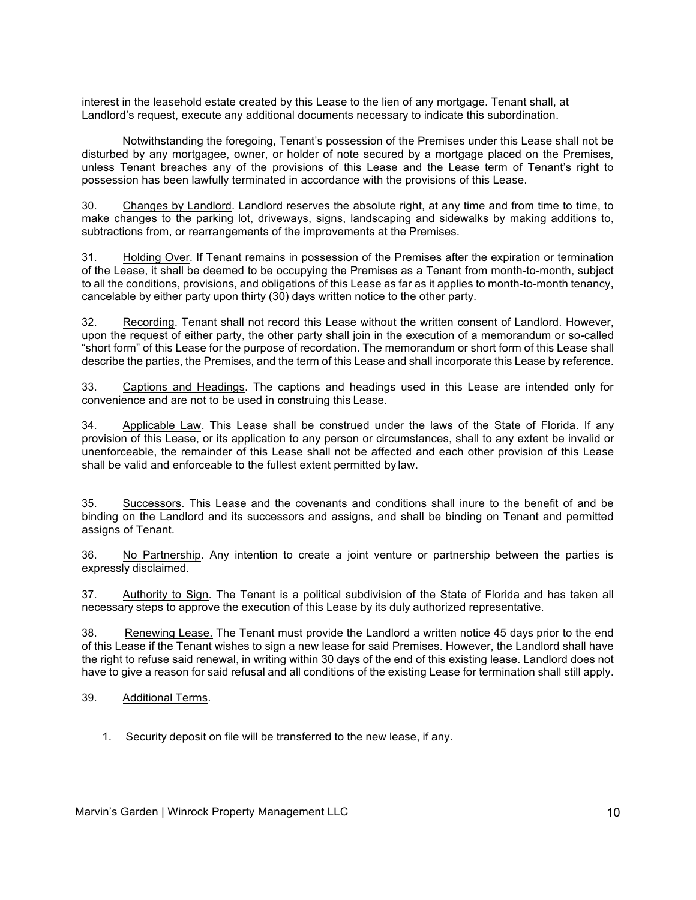interest in the leasehold estate created by this Lease to the lien of any mortgage. Tenant shall, at Landlord's request, execute any additional documents necessary to indicate this subordination.

Notwithstanding the foregoing, Tenant's possession of the Premises under this Lease shall not be disturbed by any mortgagee, owner, or holder of note secured by a mortgage placed on the Premises, unless Tenant breaches any of the provisions of this Lease and the Lease term of Tenant's right to possession has been lawfully terminated in accordance with the provisions of this Lease.

30. Changes by Landlord. Landlord reserves the absolute right, at any time and from time to time, to make changes to the parking lot, driveways, signs, landscaping and sidewalks by making additions to, subtractions from, or rearrangements of the improvements at the Premises.

31. Holding Over. If Tenant remains in possession of the Premises after the expiration or termination of the Lease, it shall be deemed to be occupying the Premises as a Tenant from month-to-month, subject to all the conditions, provisions, and obligations of this Lease as far as it applies to month-to-month tenancy, cancelable by either party upon thirty (30) days written notice to the other party.

32. Recording. Tenant shall not record this Lease without the written consent of Landlord. However, upon the request of either party, the other party shall join in the execution of a memorandum or so-called "short form" of this Lease for the purpose of recordation. The memorandum or short form of this Lease shall describe the parties, the Premises, and the term of this Lease and shall incorporate this Lease by reference.

33. Captions and Headings. The captions and headings used in this Lease are intended only for convenience and are not to be used in construing this Lease.

34. Applicable Law. This Lease shall be construed under the laws of the State of Florida. If any provision of this Lease, or its application to any person or circumstances, shall to any extent be invalid or unenforceable, the remainder of this Lease shall not be affected and each other provision of this Lease shall be valid and enforceable to the fullest extent permitted by law.

35. Successors. This Lease and the covenants and conditions shall inure to the benefit of and be binding on the Landlord and its successors and assigns, and shall be binding on Tenant and permitted assigns of Tenant.

36. No Partnership. Any intention to create a joint venture or partnership between the parties is expressly disclaimed.

37. Authority to Sign. The Tenant is a political subdivision of the State of Florida and has taken all necessary steps to approve the execution of this Lease by its duly authorized representative.

38. Renewing Lease. The Tenant must provide the Landlord a written notice 45 days prior to the end of this Lease if the Tenant wishes to sign a new lease for said Premises. However, the Landlord shall have the right to refuse said renewal, in writing within 30 days of the end of this existing lease. Landlord does not have to give a reason for said refusal and all conditions of the existing Lease for termination shall still apply.

39. Additional Terms.

1. Security deposit on file will be transferred to the new lease, if any.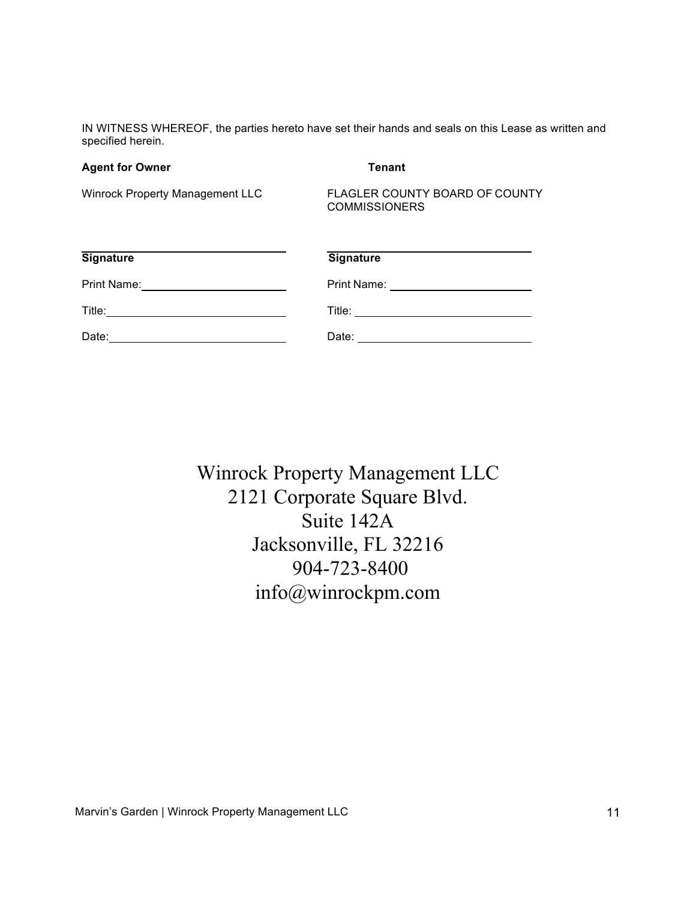IN WITNESS WHEREOF, the parties hereto have set their hands and seals on this Lease as written and specified herein.

#### **Agent for Owner Tenant**

Winrock Property Management LLC FLAGLER COUNTY BOARD OF COUNTY **COMMISSIONERS** 

| <b>Signature</b> | <b>Signature</b> |
|------------------|------------------|
| Print Name:      | Print Name:      |
| Title:           | Title:           |
| Date:            | Date:            |

Winrock Property Management LLC 2121 Corporate Square Blvd. Suite 142A Jacksonville, FL 32216 904-723-8400 info@winrockpm.com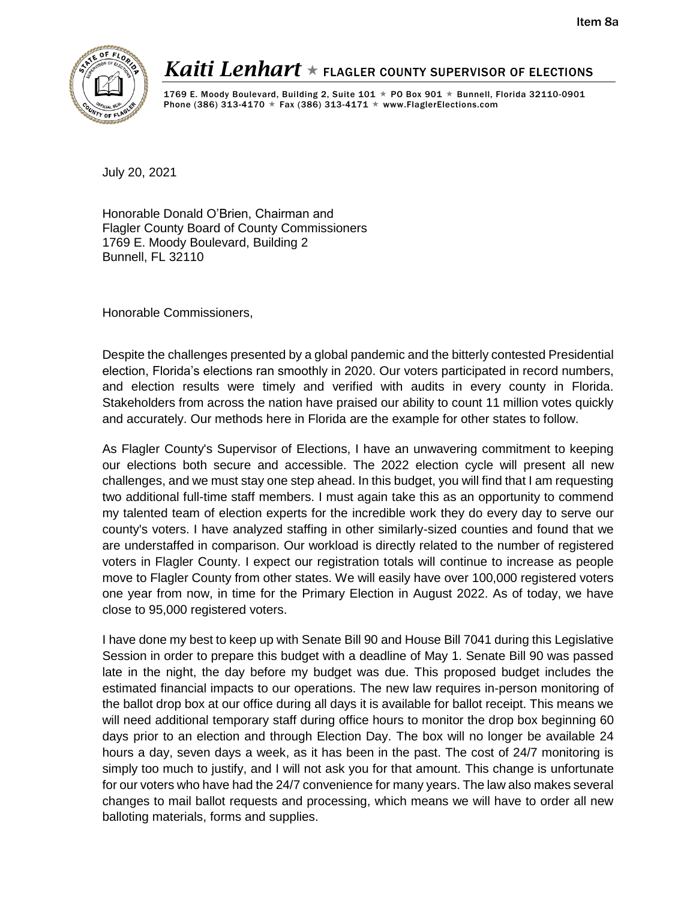

# *Kaiti Lenhart*  $\star$  flagler county supervisor of elections

1769 E. Moody Boulevard, Building 2, Suite  $101 \star$  PO Box 901  $\star$  Bunnell, Florida 32110-0901 Phone (386) 313-4170  $\star$  Fax (386) 313-4171  $\star$  www.FlaglerElections.com

July 20, 2021

Honorable Donald O'Brien, Chairman and Flagler County Board of County Commissioners 1769 E. Moody Boulevard, Building 2 Bunnell, FL 32110

Honorable Commissioners,

Despite the challenges presented by a global pandemic and the bitterly contested Presidential election, Florida's elections ran smoothly in 2020. Our voters participated in record numbers, and election results were timely and verified with audits in every county in Florida. Stakeholders from across the nation have praised our ability to count 11 million votes quickly and accurately. Our methods here in Florida are the example for other states to follow.

As Flagler County's Supervisor of Elections, I have an unwavering commitment to keeping our elections both secure and accessible. The 2022 election cycle will present all new challenges, and we must stay one step ahead. In this budget, you will find that I am requesting two additional full-time staff members. I must again take this as an opportunity to commend my talented team of election experts for the incredible work they do every day to serve our county's voters. I have analyzed staffing in other similarly-sized counties and found that we are understaffed in comparison. Our workload is directly related to the number of registered voters in Flagler County. I expect our registration totals will continue to increase as people move to Flagler County from other states. We will easily have over 100,000 registered voters one year from now, in time for the Primary Election in August 2022. As of today, we have close to 95,000 registered voters.

I have done my best to keep up with Senate Bill 90 and House Bill 7041 during this Legislative Session in order to prepare this budget with a deadline of May 1. Senate Bill 90 was passed late in the night, the day before my budget was due. This proposed budget includes the estimated financial impacts to our operations. The new law requires in-person monitoring of the ballot drop box at our office during all days it is available for ballot receipt. This means we will need additional temporary staff during office hours to monitor the drop box beginning 60 days prior to an election and through Election Day. The box will no longer be available 24 hours a day, seven days a week, as it has been in the past. The cost of 24/7 monitoring is simply too much to justify, and I will not ask you for that amount. This change is unfortunate for our voters who have had the 24/7 convenience for many years. The law also makes several changes to mail ballot requests and processing, which means we will have to order all new balloting materials, forms and supplies.